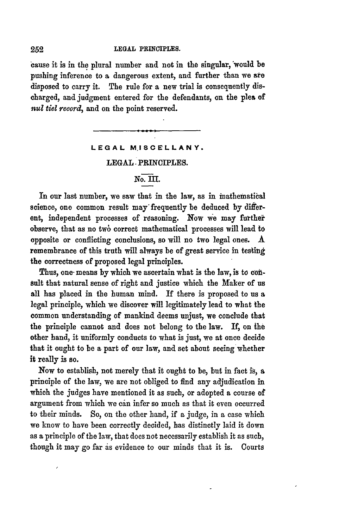cause it is in the plural number and not in the singular, would be pushing inference to a dangerous extent, and further than we **are** disposed to carry it. The rule for a new trial is consequently discharged, and judgment entered for the defendants, on the plea of *nul tiel record,* and on the point reserved.

## **LEGAL MISCELLANY.**

**LEGAL.** PRINCIPLES.

## **No. III**

In our last number, we saw that in the law, as in inathematical science, one common result may frequently be deduced **by** different, independent processes of reasoning. Now we may further observe, that as no two correct mathematical processes will lead to opposite or conflicting conclusions, so will no two legal **ones. A** remembrance of this truth will always be of great service in testing the correctness of proposed legal principles.

Thus, one means by which we ascertain what is the law, is to con**sult** that natural sense of right and justice which the Maker of us all has placed in the human mind. If there is proposed to us a legal principle, which we discover will legitimately lead to what the common understanding of mankind deems unjust, we conclude that the principle cannot and does not belong to the law. If, on the other hand, it uniformly conducts to what is just, we at once decide that it ought to be a part of our law, and set about seeing whether it really is so.

Now to establish, not merely that it ought to be, but in fact is, **a** principle of the law, we are not obliged to find any adjudication in which the judges have mentioned it as such, or adopted a course of argument from which we can infer so much as that it even occurred to their minds. So, on the other hand, if a judge, in a case which we know to have been correctly decided, has distinctly laid it down as a principle of the law, that does not necessarily establish it as such, though it may go far as evidence to our minds that it is. Courts

252